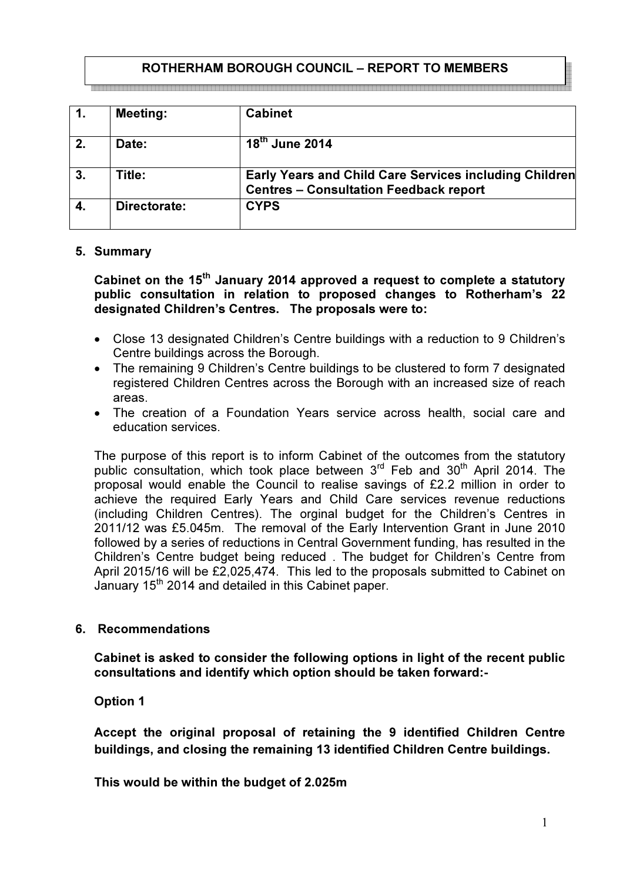### ROTHERHAM BOROUGH COUNCIL – REPORT TO MEMBERS aanaa ahaa ka kaasaa aadaa ahaa ahaa ka xaasaa ahaa ahaa ahaa ka xaasaa ahaa ahaa ahaa ka xaasaa ahaa ahaa ka

| $\mathbf{1}$ . | <b>Meeting:</b> | <b>Cabinet</b>                                                                                          |
|----------------|-----------------|---------------------------------------------------------------------------------------------------------|
| 2.             | Date:           | $18th$ June 2014                                                                                        |
| 3.             | Title:          | Early Years and Child Care Services including Children<br><b>Centres - Consultation Feedback report</b> |
| 4.             | Directorate:    | <b>CYPS</b>                                                                                             |

### 5. Summary

Cabinet on the  $15<sup>th</sup>$  January 2014 approved a request to complete a statutory public consultation in relation to proposed changes to Rotherham's 22 designated Children's Centres. The proposals were to:

- Close 13 designated Children's Centre buildings with a reduction to 9 Children's Centre buildings across the Borough.
- The remaining 9 Children's Centre buildings to be clustered to form 7 designated registered Children Centres across the Borough with an increased size of reach areas.
- The creation of a Foundation Years service across health, social care and education services.

The purpose of this report is to inform Cabinet of the outcomes from the statutory public consultation, which took place between  $3<sup>rd</sup>$  Feb and  $30<sup>th</sup>$  April 2014. The proposal would enable the Council to realise savings of £2.2 million in order to achieve the required Early Years and Child Care services revenue reductions (including Children Centres). The orginal budget for the Children's Centres in 2011/12 was £5.045m. The removal of the Early Intervention Grant in June 2010 followed by a series of reductions in Central Government funding, has resulted in the Children's Centre budget being reduced . The budget for Children's Centre from April 2015/16 will be £2,025,474. This led to the proposals submitted to Cabinet on January  $15<sup>th</sup>$  2014 and detailed in this Cabinet paper.

### 6. Recommendations

Cabinet is asked to consider the following options in light of the recent public consultations and identify which option should be taken forward:-

Option 1

Accept the original proposal of retaining the 9 identified Children Centre buildings, and closing the remaining 13 identified Children Centre buildings.

This would be within the budget of 2.025m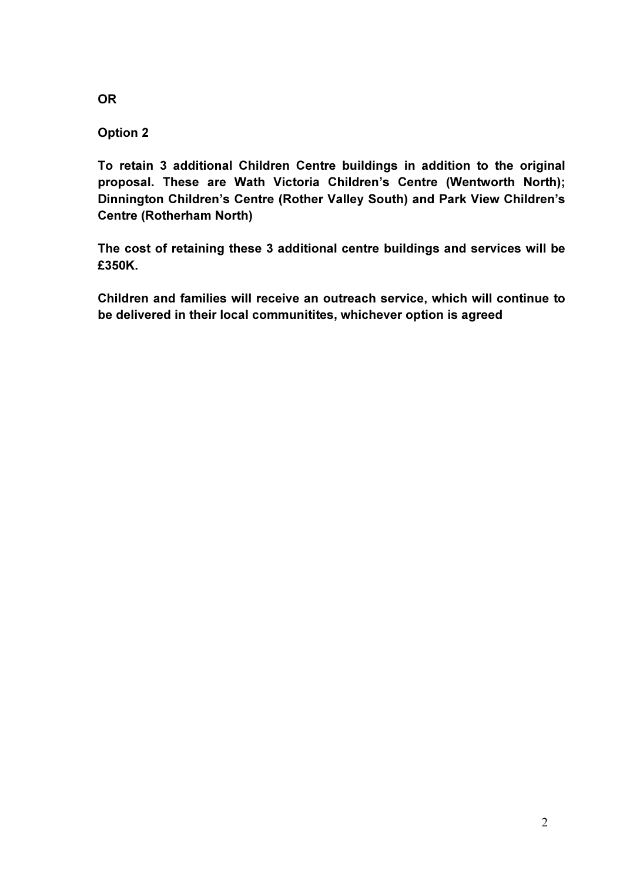**OR** 

# Option 2

To retain 3 additional Children Centre buildings in addition to the original proposal. These are Wath Victoria Children's Centre (Wentworth North); Dinnington Children's Centre (Rother Valley South) and Park View Children's Centre (Rotherham North)

The cost of retaining these 3 additional centre buildings and services will be £350K.

Children and families will receive an outreach service, which will continue to be delivered in their local communitites, whichever option is agreed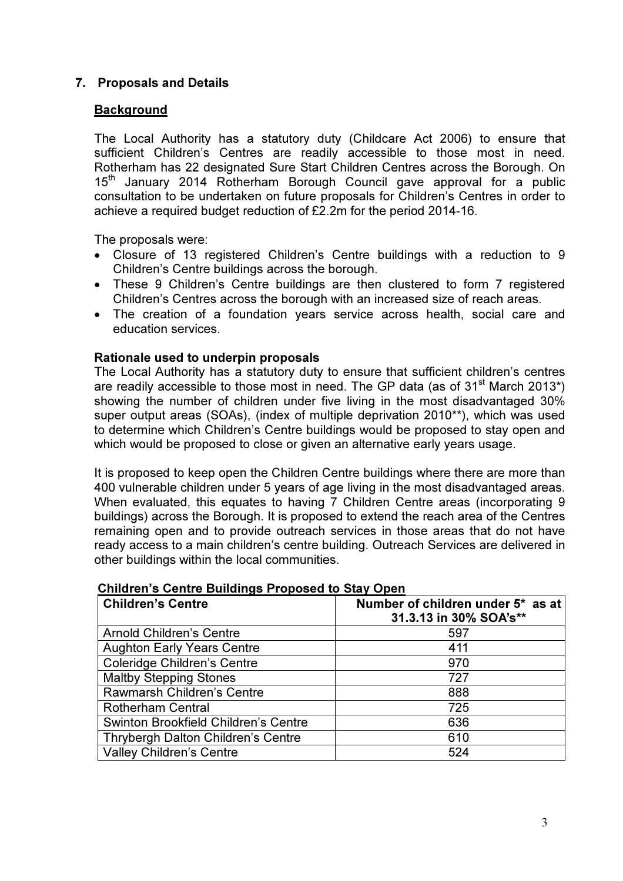# 7. Proposals and Details

### **Background**

The Local Authority has a statutory duty (Childcare Act 2006) to ensure that sufficient Children's Centres are readily accessible to those most in need. Rotherham has 22 designated Sure Start Children Centres across the Borough. On 15<sup>th</sup> January 2014 Rotherham Borough Council gave approval for a public consultation to be undertaken on future proposals for Children's Centres in order to achieve a required budget reduction of £2.2m for the period 2014-16.

The proposals were:

- Closure of 13 registered Children's Centre buildings with a reduction to 9 Children's Centre buildings across the borough.
- These 9 Children's Centre buildings are then clustered to form 7 registered Children's Centres across the borough with an increased size of reach areas.
- The creation of a foundation years service across health, social care and education services.

### Rationale used to underpin proposals

The Local Authority has a statutory duty to ensure that sufficient children's centres are readily accessible to those most in need. The GP data (as of  $31<sup>st</sup>$  March 2013<sup>\*</sup>) showing the number of children under five living in the most disadvantaged 30% super output areas (SOAs), (index of multiple deprivation 2010\*\*), which was used to determine which Children's Centre buildings would be proposed to stay open and which would be proposed to close or given an alternative early years usage.

It is proposed to keep open the Children Centre buildings where there are more than 400 vulnerable children under 5 years of age living in the most disadvantaged areas. When evaluated, this equates to having 7 Children Centre areas (incorporating 9 buildings) across the Borough. It is proposed to extend the reach area of the Centres remaining open and to provide outreach services in those areas that do not have ready access to a main children's centre building. Outreach Services are delivered in other buildings within the local communities.

| <b>Children's Centre</b>             | Number of children under 5* as at<br>31.3.13 in 30% SOA's** |
|--------------------------------------|-------------------------------------------------------------|
| <b>Arnold Children's Centre</b>      | 597                                                         |
| <b>Aughton Early Years Centre</b>    | 411                                                         |
| <b>Coleridge Children's Centre</b>   | 970                                                         |
| <b>Maltby Stepping Stones</b>        | 727                                                         |
| Rawmarsh Children's Centre           | 888                                                         |
| <b>Rotherham Central</b>             | 725                                                         |
| Swinton Brookfield Children's Centre | 636                                                         |
| Thrybergh Dalton Children's Centre   | 610                                                         |
| <b>Valley Children's Centre</b>      | 524                                                         |

#### Children's Centre Buildings Proposed to Stay Open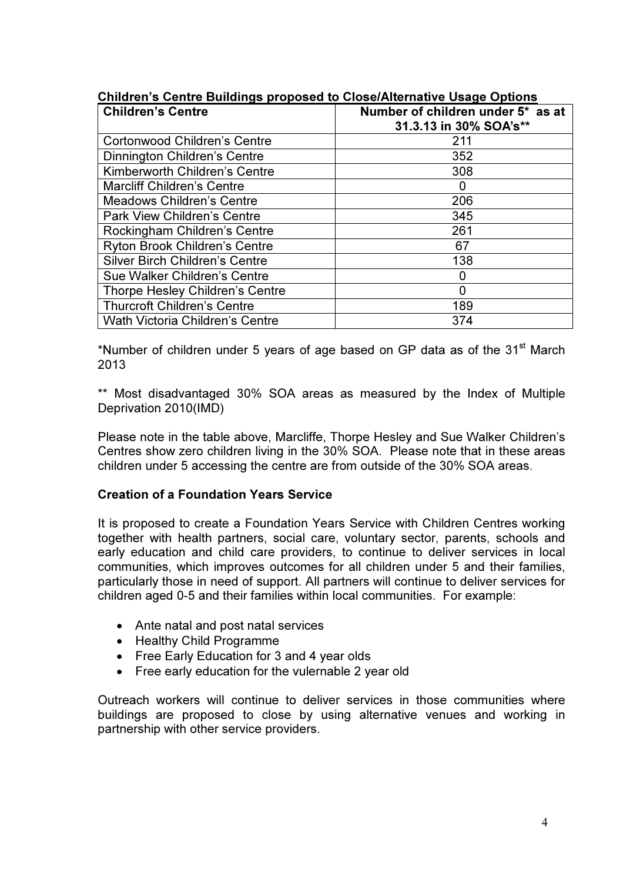| <b>Children's Centre</b>               | Number of children under 5* as at<br>31.3.13 in 30% SOA's** |
|----------------------------------------|-------------------------------------------------------------|
| <b>Cortonwood Children's Centre</b>    | 211                                                         |
| Dinnington Children's Centre           | 352                                                         |
| Kimberworth Children's Centre          | 308                                                         |
| <b>Marcliff Children's Centre</b>      |                                                             |
| <b>Meadows Children's Centre</b>       | 206                                                         |
| <b>Park View Children's Centre</b>     | 345                                                         |
| Rockingham Children's Centre           | 261                                                         |
| <b>Ryton Brook Children's Centre</b>   | 67                                                          |
| <b>Silver Birch Children's Centre</b>  | 138                                                         |
| Sue Walker Children's Centre           |                                                             |
| Thorpe Hesley Children's Centre        |                                                             |
| <b>Thurcroft Children's Centre</b>     | 189                                                         |
| <b>Wath Victoria Children's Centre</b> | 374                                                         |

### Children's Centre Buildings proposed to Close/Alternative Usage Options

\*Number of children under 5 years of age based on GP data as of the  $31<sup>st</sup>$  March 2013

\*\* Most disadvantaged 30% SOA areas as measured by the Index of Multiple Deprivation 2010(IMD)

Please note in the table above, Marcliffe, Thorpe Hesley and Sue Walker Children's Centres show zero children living in the 30% SOA. Please note that in these areas children under 5 accessing the centre are from outside of the 30% SOA areas.

### Creation of a Foundation Years Service

It is proposed to create a Foundation Years Service with Children Centres working together with health partners, social care, voluntary sector, parents, schools and early education and child care providers, to continue to deliver services in local communities, which improves outcomes for all children under 5 and their families, particularly those in need of support. All partners will continue to deliver services for children aged 0-5 and their families within local communities. For example:

- Ante natal and post natal services
- Healthy Child Programme
- Free Early Education for 3 and 4 year olds
- Free early education for the vulernable 2 year old

Outreach workers will continue to deliver services in those communities where buildings are proposed to close by using alternative venues and working in partnership with other service providers.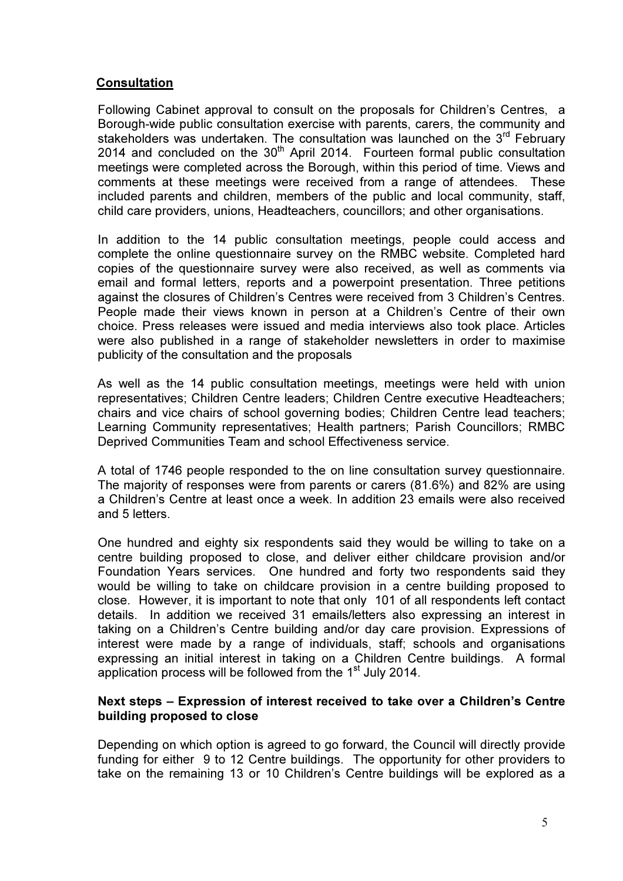### Consultation

Following Cabinet approval to consult on the proposals for Children's Centres, a Borough-wide public consultation exercise with parents, carers, the community and stakeholders was undertaken. The consultation was launched on the 3<sup>rd</sup> February 2014 and concluded on the  $30<sup>th</sup>$  April 2014. Fourteen formal public consultation meetings were completed across the Borough, within this period of time. Views and comments at these meetings were received from a range of attendees. These included parents and children, members of the public and local community, staff, child care providers, unions, Headteachers, councillors; and other organisations.

In addition to the 14 public consultation meetings, people could access and complete the online questionnaire survey on the RMBC website. Completed hard copies of the questionnaire survey were also received, as well as comments via email and formal letters, reports and a powerpoint presentation. Three petitions against the closures of Children's Centres were received from 3 Children's Centres. People made their views known in person at a Children's Centre of their own choice. Press releases were issued and media interviews also took place. Articles were also published in a range of stakeholder newsletters in order to maximise publicity of the consultation and the proposals

As well as the 14 public consultation meetings, meetings were held with union representatives; Children Centre leaders; Children Centre executive Headteachers; chairs and vice chairs of school governing bodies; Children Centre lead teachers; Learning Community representatives; Health partners; Parish Councillors; RMBC Deprived Communities Team and school Effectiveness service.

A total of 1746 people responded to the on line consultation survey questionnaire. The majority of responses were from parents or carers (81.6%) and 82% are using a Children's Centre at least once a week. In addition 23 emails were also received and 5 letters.

One hundred and eighty six respondents said they would be willing to take on a centre building proposed to close, and deliver either childcare provision and/or Foundation Years services. One hundred and forty two respondents said they would be willing to take on childcare provision in a centre building proposed to close. However, it is important to note that only 101 of all respondents left contact details. In addition we received 31 emails/letters also expressing an interest in taking on a Children's Centre building and/or day care provision. Expressions of interest were made by a range of individuals, staff; schools and organisations expressing an initial interest in taking on a Children Centre buildings. A formal application process will be followed from the 1<sup>st</sup> July 2014.

### Next steps – Expression of interest received to take over a Children's Centre building proposed to close

Depending on which option is agreed to go forward, the Council will directly provide funding for either 9 to 12 Centre buildings. The opportunity for other providers to take on the remaining 13 or 10 Children's Centre buildings will be explored as a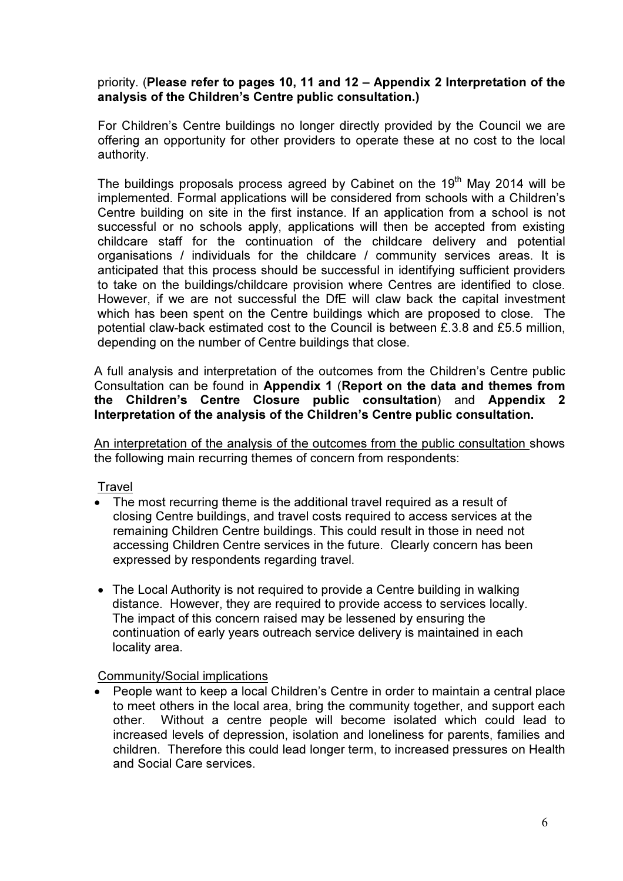### priority. (Please refer to pages 10, 11 and 12 – Appendix 2 Interpretation of the analysis of the Children's Centre public consultation.)

For Children's Centre buildings no longer directly provided by the Council we are offering an opportunity for other providers to operate these at no cost to the local authority.

The buildings proposals process agreed by Cabinet on the  $19<sup>th</sup>$  May 2014 will be implemented. Formal applications will be considered from schools with a Children's Centre building on site in the first instance. If an application from a school is not successful or no schools apply, applications will then be accepted from existing childcare staff for the continuation of the childcare delivery and potential organisations / individuals for the childcare / community services areas. It is anticipated that this process should be successful in identifying sufficient providers to take on the buildings/childcare provision where Centres are identified to close. However, if we are not successful the DfE will claw back the capital investment which has been spent on the Centre buildings which are proposed to close. The potential claw-back estimated cost to the Council is between £.3.8 and £5.5 million, depending on the number of Centre buildings that close.

A full analysis and interpretation of the outcomes from the Children's Centre public Consultation can be found in Appendix 1 (Report on the data and themes from the Children's Centre Closure public consultation) and Appendix 2 Interpretation of the analysis of the Children's Centre public consultation.

An interpretation of the analysis of the outcomes from the public consultation shows the following main recurring themes of concern from respondents:

### **Travel**

- The most recurring theme is the additional travel required as a result of closing Centre buildings, and travel costs required to access services at the remaining Children Centre buildings. This could result in those in need not accessing Children Centre services in the future. Clearly concern has been expressed by respondents regarding travel.
- The Local Authority is not required to provide a Centre building in walking distance. However, they are required to provide access to services locally. The impact of this concern raised may be lessened by ensuring the continuation of early years outreach service delivery is maintained in each locality area.

### Community/Social implications

• People want to keep a local Children's Centre in order to maintain a central place to meet others in the local area, bring the community together, and support each other. Without a centre people will become isolated which could lead to increased levels of depression, isolation and loneliness for parents, families and children. Therefore this could lead longer term, to increased pressures on Health and Social Care services.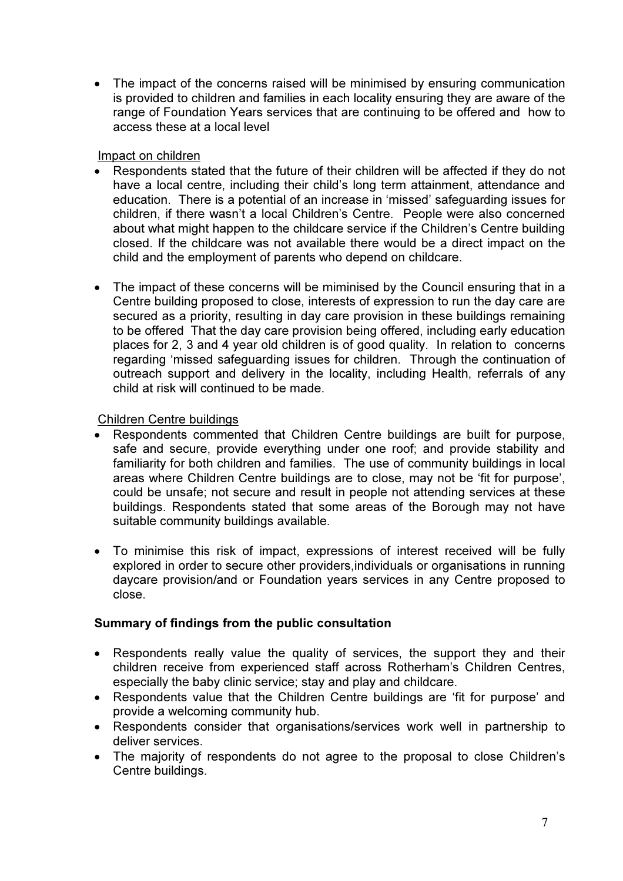• The impact of the concerns raised will be minimised by ensuring communication is provided to children and families in each locality ensuring they are aware of the range of Foundation Years services that are continuing to be offered and how to access these at a local level

### Impact on children

- Respondents stated that the future of their children will be affected if they do not have a local centre, including their child's long term attainment, attendance and education. There is a potential of an increase in 'missed' safeguarding issues for children, if there wasn't a local Children's Centre. People were also concerned about what might happen to the childcare service if the Children's Centre building closed. If the childcare was not available there would be a direct impact on the child and the employment of parents who depend on childcare.
- The impact of these concerns will be miminised by the Council ensuring that in a Centre building proposed to close, interests of expression to run the day care are secured as a priority, resulting in day care provision in these buildings remaining to be offered That the day care provision being offered, including early education places for 2, 3 and 4 year old children is of good quality. In relation to concerns regarding 'missed safeguarding issues for children. Through the continuation of outreach support and delivery in the locality, including Health, referrals of any child at risk will continued to be made.

# Children Centre buildings

- Respondents commented that Children Centre buildings are built for purpose, safe and secure, provide everything under one roof; and provide stability and familiarity for both children and families. The use of community buildings in local areas where Children Centre buildings are to close, may not be 'fit for purpose', could be unsafe; not secure and result in people not attending services at these buildings. Respondents stated that some areas of the Borough may not have suitable community buildings available.
- To minimise this risk of impact, expressions of interest received will be fully explored in order to secure other providers,individuals or organisations in running daycare provision/and or Foundation years services in any Centre proposed to close.

# Summary of findings from the public consultation

- Respondents really value the quality of services, the support they and their children receive from experienced staff across Rotherham's Children Centres, especially the baby clinic service; stay and play and childcare.
- Respondents value that the Children Centre buildings are 'fit for purpose' and provide a welcoming community hub.
- Respondents consider that organisations/services work well in partnership to deliver services.
- The majority of respondents do not agree to the proposal to close Children's Centre buildings.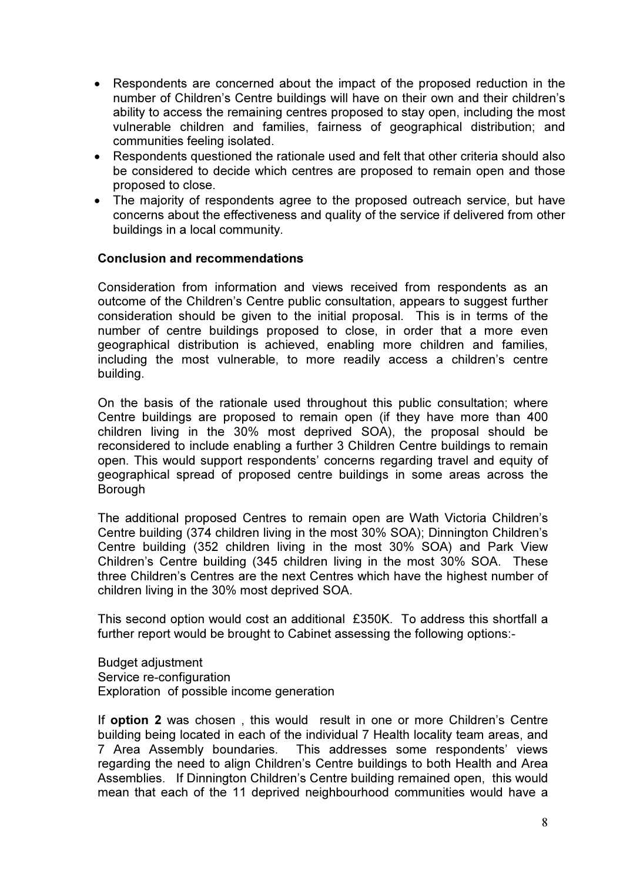- Respondents are concerned about the impact of the proposed reduction in the number of Children's Centre buildings will have on their own and their children's ability to access the remaining centres proposed to stay open, including the most vulnerable children and families, fairness of geographical distribution; and communities feeling isolated.
- Respondents questioned the rationale used and felt that other criteria should also be considered to decide which centres are proposed to remain open and those proposed to close.
- The majority of respondents agree to the proposed outreach service, but have concerns about the effectiveness and quality of the service if delivered from other buildings in a local community.

#### Conclusion and recommendations

Consideration from information and views received from respondents as an outcome of the Children's Centre public consultation, appears to suggest further consideration should be given to the initial proposal. This is in terms of the number of centre buildings proposed to close, in order that a more even geographical distribution is achieved, enabling more children and families, including the most vulnerable, to more readily access a children's centre building.

On the basis of the rationale used throughout this public consultation; where Centre buildings are proposed to remain open (if they have more than 400 children living in the 30% most deprived SOA), the proposal should be reconsidered to include enabling a further 3 Children Centre buildings to remain open. This would support respondents' concerns regarding travel and equity of geographical spread of proposed centre buildings in some areas across the Borough

The additional proposed Centres to remain open are Wath Victoria Children's Centre building (374 children living in the most 30% SOA); Dinnington Children's Centre building (352 children living in the most 30% SOA) and Park View Children's Centre building (345 children living in the most 30% SOA. These three Children's Centres are the next Centres which have the highest number of children living in the 30% most deprived SOA.

This second option would cost an additional £350K. To address this shortfall a further report would be brought to Cabinet assessing the following options:-

Budget adjustment Service re-configuration Exploration of possible income generation

If **option 2** was chosen, this would result in one or more Children's Centre building being located in each of the individual 7 Health locality team areas, and 7 Area Assembly boundaries. This addresses some respondents' views regarding the need to align Children's Centre buildings to both Health and Area Assemblies. If Dinnington Children's Centre building remained open, this would mean that each of the 11 deprived neighbourhood communities would have a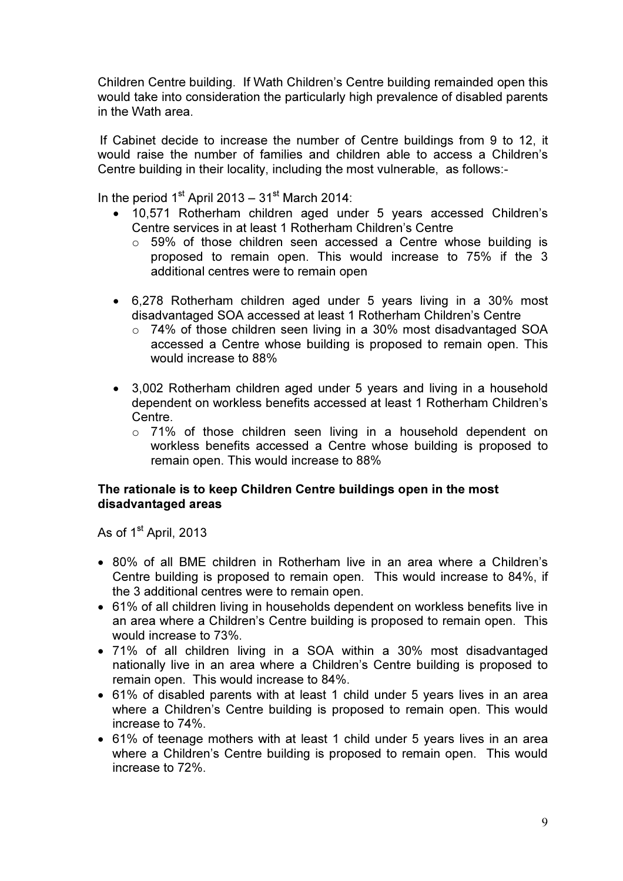Children Centre building. If Wath Children's Centre building remainded open this would take into consideration the particularly high prevalence of disabled parents in the Wath area.

 If Cabinet decide to increase the number of Centre buildings from 9 to 12, it would raise the number of families and children able to access a Children's Centre building in their locality, including the most vulnerable, as follows:-

In the period  $1<sup>st</sup>$  April 2013 –  $31<sup>st</sup>$  March 2014:

- 10,571 Rotherham children aged under 5 years accessed Children's Centre services in at least 1 Rotherham Children's Centre
	- $\circ$  59% of those children seen accessed a Centre whose building is proposed to remain open. This would increase to 75% if the 3 additional centres were to remain open
- 6,278 Rotherham children aged under 5 years living in a 30% most disadvantaged SOA accessed at least 1 Rotherham Children's Centre
	- $\circ$  74% of those children seen living in a 30% most disadvantaged SOA accessed a Centre whose building is proposed to remain open. This would increase to 88%
- 3,002 Rotherham children aged under 5 years and living in a household dependent on workless benefits accessed at least 1 Rotherham Children's Centre.
	- o 71% of those children seen living in a household dependent on workless benefits accessed a Centre whose building is proposed to remain open. This would increase to 88%

### The rationale is to keep Children Centre buildings open in the most disadvantaged areas

As of 1<sup>st</sup> April, 2013

- 80% of all BME children in Rotherham live in an area where a Children's Centre building is proposed to remain open. This would increase to 84%, if the 3 additional centres were to remain open.
- 61% of all children living in households dependent on workless benefits live in an area where a Children's Centre building is proposed to remain open. This would increase to 73%.
- 71% of all children living in a SOA within a 30% most disadvantaged nationally live in an area where a Children's Centre building is proposed to remain open. This would increase to 84%.
- 61% of disabled parents with at least 1 child under 5 years lives in an area where a Children's Centre building is proposed to remain open. This would increase to 74%.
- 61% of teenage mothers with at least 1 child under 5 years lives in an area where a Children's Centre building is proposed to remain open. This would increase to 72%.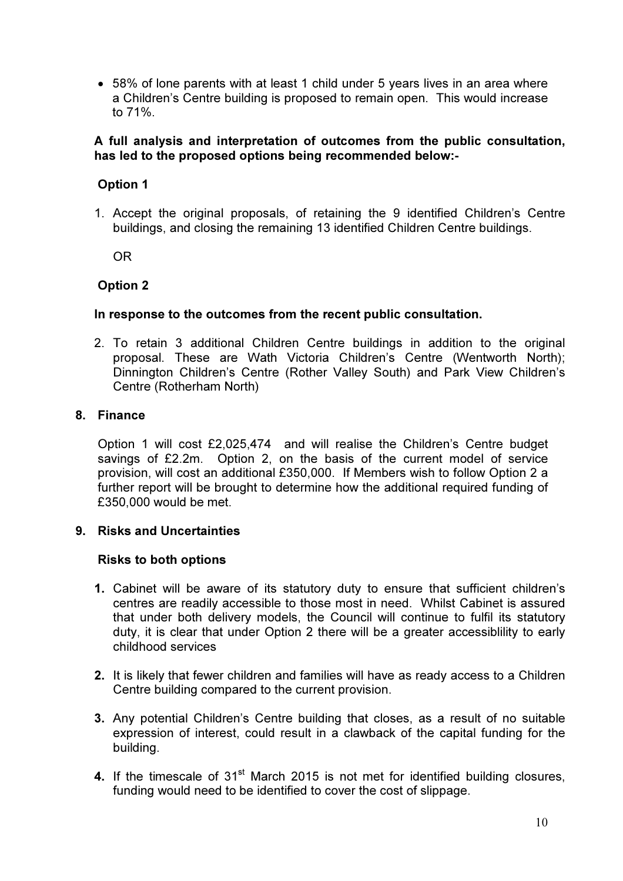• 58% of lone parents with at least 1 child under 5 years lives in an area where a Children's Centre building is proposed to remain open. This would increase to 71%.

### A full analysis and interpretation of outcomes from the public consultation, has led to the proposed options being recommended below:-

### Option 1

1. Accept the original proposals, of retaining the 9 identified Children's Centre buildings, and closing the remaining 13 identified Children Centre buildings.

OR

### Option 2

### In response to the outcomes from the recent public consultation.

2. To retain 3 additional Children Centre buildings in addition to the original proposal. These are Wath Victoria Children's Centre (Wentworth North); Dinnington Children's Centre (Rother Valley South) and Park View Children's Centre (Rotherham North)

### 8. Finance

Option 1 will cost £2,025,474 and will realise the Children's Centre budget savings of £2.2m. Option 2, on the basis of the current model of service provision, will cost an additional £350,000. If Members wish to follow Option 2 a further report will be brought to determine how the additional required funding of £350,000 would be met.

### 9. Risks and Uncertainties

### Risks to both options

- 1. Cabinet will be aware of its statutory duty to ensure that sufficient children's centres are readily accessible to those most in need. Whilst Cabinet is assured that under both delivery models, the Council will continue to fulfil its statutory duty, it is clear that under Option 2 there will be a greater accessiblility to early childhood services
- 2. It is likely that fewer children and families will have as ready access to a Children Centre building compared to the current provision.
- 3. Any potential Children's Centre building that closes, as a result of no suitable expression of interest, could result in a clawback of the capital funding for the building.
- 4. If the timescale of  $31<sup>st</sup>$  March 2015 is not met for identified building closures, funding would need to be identified to cover the cost of slippage.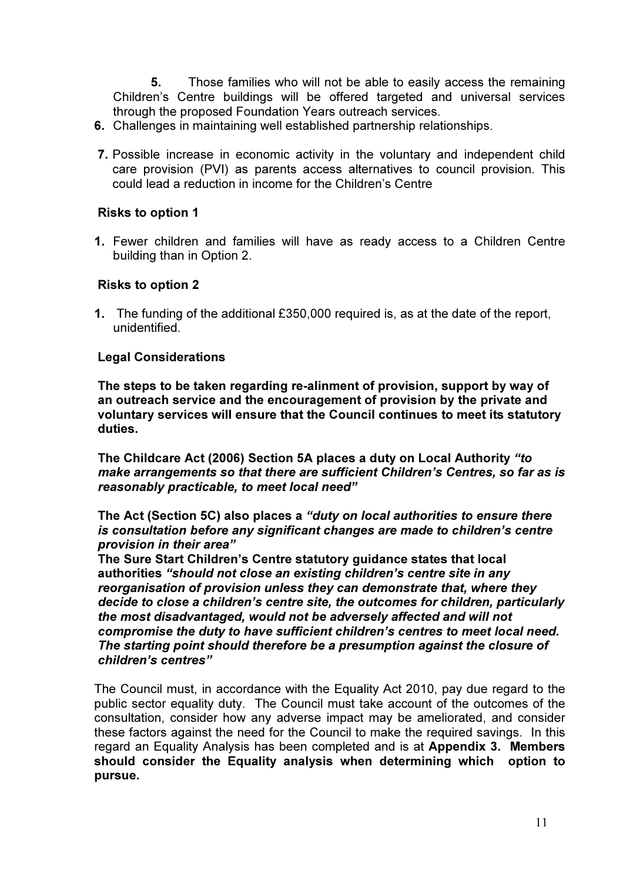5. Those families who will not be able to easily access the remaining Children's Centre buildings will be offered targeted and universal services through the proposed Foundation Years outreach services.

- 6. Challenges in maintaining well established partnership relationships.
- 7. Possible increase in economic activity in the voluntary and independent child care provision (PVI) as parents access alternatives to council provision. This could lead a reduction in income for the Children's Centre

### Risks to option 1

1. Fewer children and families will have as ready access to a Children Centre building than in Option 2.

### Risks to option 2

1. The funding of the additional £350,000 required is, as at the date of the report, unidentified.

### Legal Considerations

The steps to be taken regarding re-alinment of provision, support by way of an outreach service and the encouragement of provision by the private and voluntary services will ensure that the Council continues to meet its statutory duties.

The Childcare Act (2006) Section 5A places a duty on Local Authority "to make arrangements so that there are sufficient Children's Centres, so far as is reasonably practicable, to meet local need"

The Act (Section 5C) also places a "duty on local authorities to ensure there is consultation before any significant changes are made to children's centre provision in their area"

The Sure Start Children's Centre statutory guidance states that local authorities "should not close an existing children's centre site in any reorganisation of provision unless they can demonstrate that, where they decide to close a children's centre site, the outcomes for children, particularly the most disadvantaged, would not be adversely affected and will not compromise the duty to have sufficient children's centres to meet local need. The starting point should therefore be a presumption against the closure of children's centres"

The Council must, in accordance with the Equality Act 2010, pay due regard to the public sector equality duty. The Council must take account of the outcomes of the consultation, consider how any adverse impact may be ameliorated, and consider these factors against the need for the Council to make the required savings. In this regard an Equality Analysis has been completed and is at Appendix 3. Members should consider the Equality analysis when determining which option to pursue.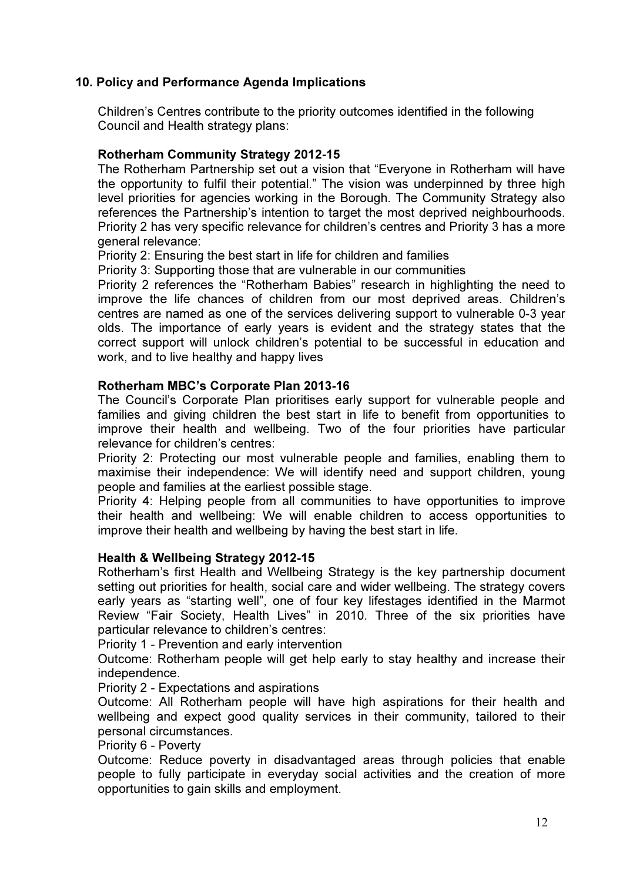### 10. Policy and Performance Agenda Implications

Children's Centres contribute to the priority outcomes identified in the following Council and Health strategy plans:

### Rotherham Community Strategy 2012-15

The Rotherham Partnership set out a vision that "Everyone in Rotherham will have the opportunity to fulfil their potential." The vision was underpinned by three high level priorities for agencies working in the Borough. The Community Strategy also references the Partnership's intention to target the most deprived neighbourhoods. Priority 2 has very specific relevance for children's centres and Priority 3 has a more general relevance:

Priority 2: Ensuring the best start in life for children and families

Priority 3: Supporting those that are vulnerable in our communities

Priority 2 references the "Rotherham Babies" research in highlighting the need to improve the life chances of children from our most deprived areas. Children's centres are named as one of the services delivering support to vulnerable 0-3 year olds. The importance of early years is evident and the strategy states that the correct support will unlock children's potential to be successful in education and work, and to live healthy and happy lives

### Rotherham MBC's Corporate Plan 2013-16

The Council's Corporate Plan prioritises early support for vulnerable people and families and giving children the best start in life to benefit from opportunities to improve their health and wellbeing. Two of the four priorities have particular relevance for children's centres:

Priority 2: Protecting our most vulnerable people and families, enabling them to maximise their independence: We will identify need and support children, young people and families at the earliest possible stage.

Priority 4: Helping people from all communities to have opportunities to improve their health and wellbeing: We will enable children to access opportunities to improve their health and wellbeing by having the best start in life.

### Health & Wellbeing Strategy 2012-15

Rotherham's first Health and Wellbeing Strategy is the key partnership document setting out priorities for health, social care and wider wellbeing. The strategy covers early years as "starting well", one of four key lifestages identified in the Marmot Review "Fair Society, Health Lives" in 2010. Three of the six priorities have particular relevance to children's centres:

Priority 1 - Prevention and early intervention

Outcome: Rotherham people will get help early to stay healthy and increase their independence.

Priority 2 - Expectations and aspirations

Outcome: All Rotherham people will have high aspirations for their health and wellbeing and expect good quality services in their community, tailored to their personal circumstances.

Priority 6 - Poverty

Outcome: Reduce poverty in disadvantaged areas through policies that enable people to fully participate in everyday social activities and the creation of more opportunities to gain skills and employment.